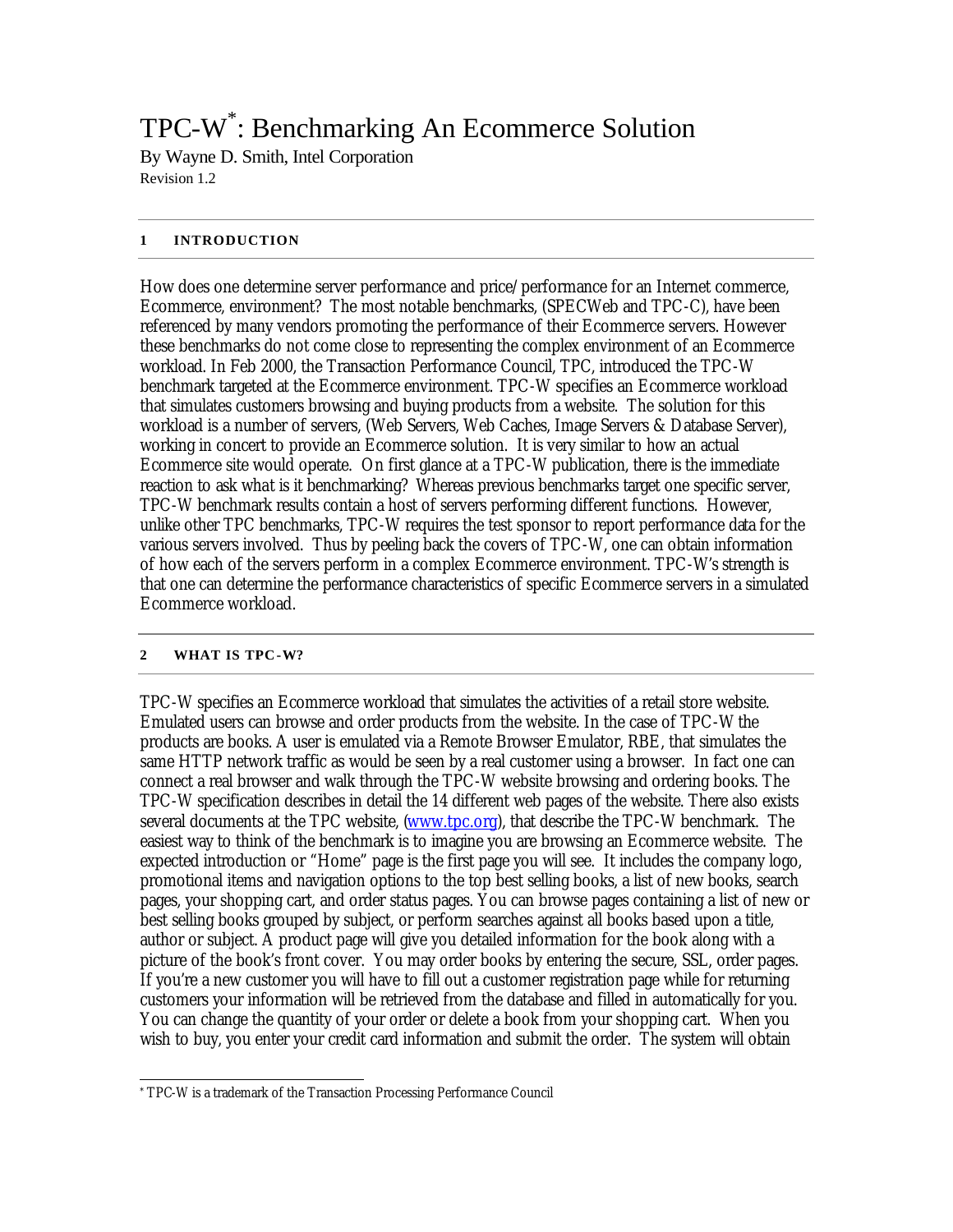# TPC-W\* : Benchmarking An Ecommerce Solution

By Wayne D. Smith, Intel Corporation Revision 1.2

#### **1 INTRODUCTION**

How does one determine server performance and price/performance for an Internet commerce, Ecommerce, environment? The most notable benchmarks, (SPECWeb and TPC-C), have been referenced by many vendors promoting the performance of their Ecommerce servers. However these benchmarks do not come close to representing the complex environment of an Ecommerce workload. In Feb 2000, the Transaction Performance Council, TPC, introduced the TPC-W benchmark targeted at the Ecommerce environment. TPC-W specifies an Ecommerce workload that simulates customers browsing and buying products from a website. The solution for this workload is a number of servers, (Web Servers, Web Caches, Image Servers & Database Server), working in concert to provide an Ecommerce solution. It is very similar to how an actual Ecommerce site would operate. On first glance at a TPC-W publication, there is the immediate reaction to ask what is it benchmarking? Whereas previous benchmarks target one specific server, TPC-W benchmark results contain a host of servers performing different functions. However, unlike other TPC benchmarks, TPC-W requires the test sponsor to report performance data for the various servers involved. Thus by peeling back the covers of TPC-W, one can obtain information of how each of the servers perform in a complex Ecommerce environment. TPC-W's strength is that one can determine the performance characteristics of specific Ecommerce servers in a simulated Ecommerce workload.

#### **2 WHAT IS TPC-W?**

TPC-W specifies an Ecommerce workload that simulates the activities of a retail store website. Emulated users can browse and order products from the website. In the case of TPC-W the products are books. A user is emulated via a Remote Browser Emulator, RBE, that simulates the same HTTP network traffic as would be seen by a real customer using a browser. In fact one can connect a real browser and walk through the TPC-W website browsing and ordering books. The TPC-W specification describes in detail the 14 different web pages of the website. There also exists several documents at the TPC website, (www.tpc.org), that describe the TPC-W benchmark. The easiest way to think of the benchmark is to imagine you are browsing an Ecommerce website. The expected introduction or "Home" page is the first page you will see. It includes the company logo, promotional items and navigation options to the top best selling books, a list of new books, search pages, your shopping cart, and order status pages. You can browse pages containing a list of new or best selling books grouped by subject, or perform searches against all books based upon a title, author or subject. A product page will give you detailed information for the book along with a picture of the book's front cover. You may order books by entering the secure, SSL, order pages. If you're a new customer you will have to fill out a customer registration page while for returning customers your information will be retrieved from the database and filled in automatically for you. You can change the quantity of your order or delete a book from your shopping cart. When you wish to buy, you enter your credit card information and submit the order. The system will obtain

l \* TPC-W is a trademark of the Transaction Processing Performance Council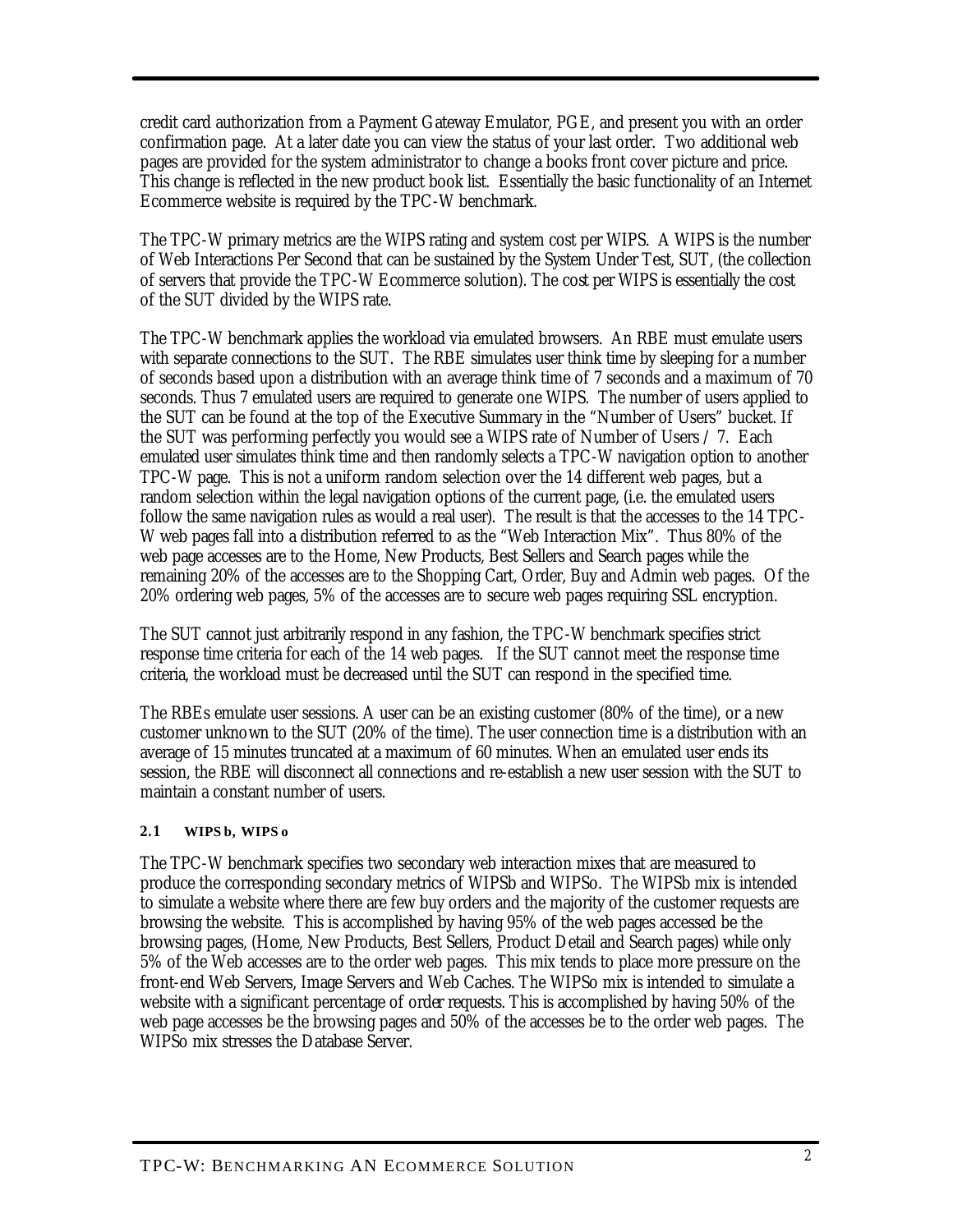credit card authorization from a Payment Gateway Emulator, PGE, and present you with an order confirmation page. At a later date you can view the status of your last order. Two additional web pages are provided for the system administrator to change a books front cover picture and price. This change is reflected in the new product book list. Essentially the basic functionality of an Internet Ecommerce website is required by the TPC-W benchmark.

The TPC-W primary metrics are the WIPS rating and system cost per WIPS. A WIPS is the number of Web Interactions Per Second that can be sustained by the System Under Test, SUT, (the collection of servers that provide the TPC-W Ecommerce solution). The cost per WIPS is essentially the cost of the SUT divided by the WIPS rate.

The TPC-W benchmark applies the workload via emulated browsers. An RBE must emulate users with separate connections to the SUT. The RBE simulates user think time by sleeping for a number of seconds based upon a distribution with an average think time of 7 seconds and a maximum of 70 seconds. Thus 7 emulated users are required to generate one WIPS. The number of users applied to the SUT can be found at the top of the Executive Summary in the "Number of Users" bucket. If the SUT was performing perfectly you would see a WIPS rate of Number of Users / 7. Each emulated user simulates think time and then randomly selects a TPC-W navigation option to another TPC-W page. This is not a uniform random selection over the 14 different web pages, but a random selection within the legal navigation options of the current page, (i.e. the emulated users follow the same navigation rules as would a real user). The result is that the accesses to the 14 TPC-W web pages fall into a distribution referred to as the "Web Interaction Mix". Thus 80% of the web page accesses are to the Home, New Products, Best Sellers and Search pages while the remaining 20% of the accesses are to the Shopping Cart, Order, Buy and Admin web pages. Of the 20% ordering web pages, 5% of the accesses are to secure web pages requiring SSL encryption.

The SUT cannot just arbitrarily respond in any fashion, the TPC-W benchmark specifies strict response time criteria for each of the 14 web pages. If the SUT cannot meet the response time criteria, the workload must be decreased until the SUT can respond in the specified time.

The RBEs emulate user sessions. A user can be an existing customer (80% of the time), or a new customer unknown to the SUT (20% of the time). The user connection time is a distribution with an average of 15 minutes truncated at a maximum of 60 minutes. When an emulated user ends its session, the RBE will disconnect all connections and re-establish a new user session with the SUT to maintain a constant number of users.

## **2.1 WIPS b, WIPS o**

The TPC-W benchmark specifies two secondary web interaction mixes that are measured to produce the corresponding secondary metrics of WIPSb and WIPSo. The WIPSb mix is intended to simulate a website where there are few buy orders and the majority of the customer requests are browsing the website. This is accomplished by having 95% of the web pages accessed be the browsing pages, (Home, New Products, Best Sellers, Product Detail and Search pages) while only 5% of the Web accesses are to the order web pages. This mix tends to place more pressure on the front-end Web Servers, Image Servers and Web Caches. The WIPSo mix is intended to simulate a website with a significant percentage of order requests. This is accomplished by having 50% of the web page accesses be the browsing pages and 50% of the accesses be to the order web pages. The WIPSo mix stresses the Database Server.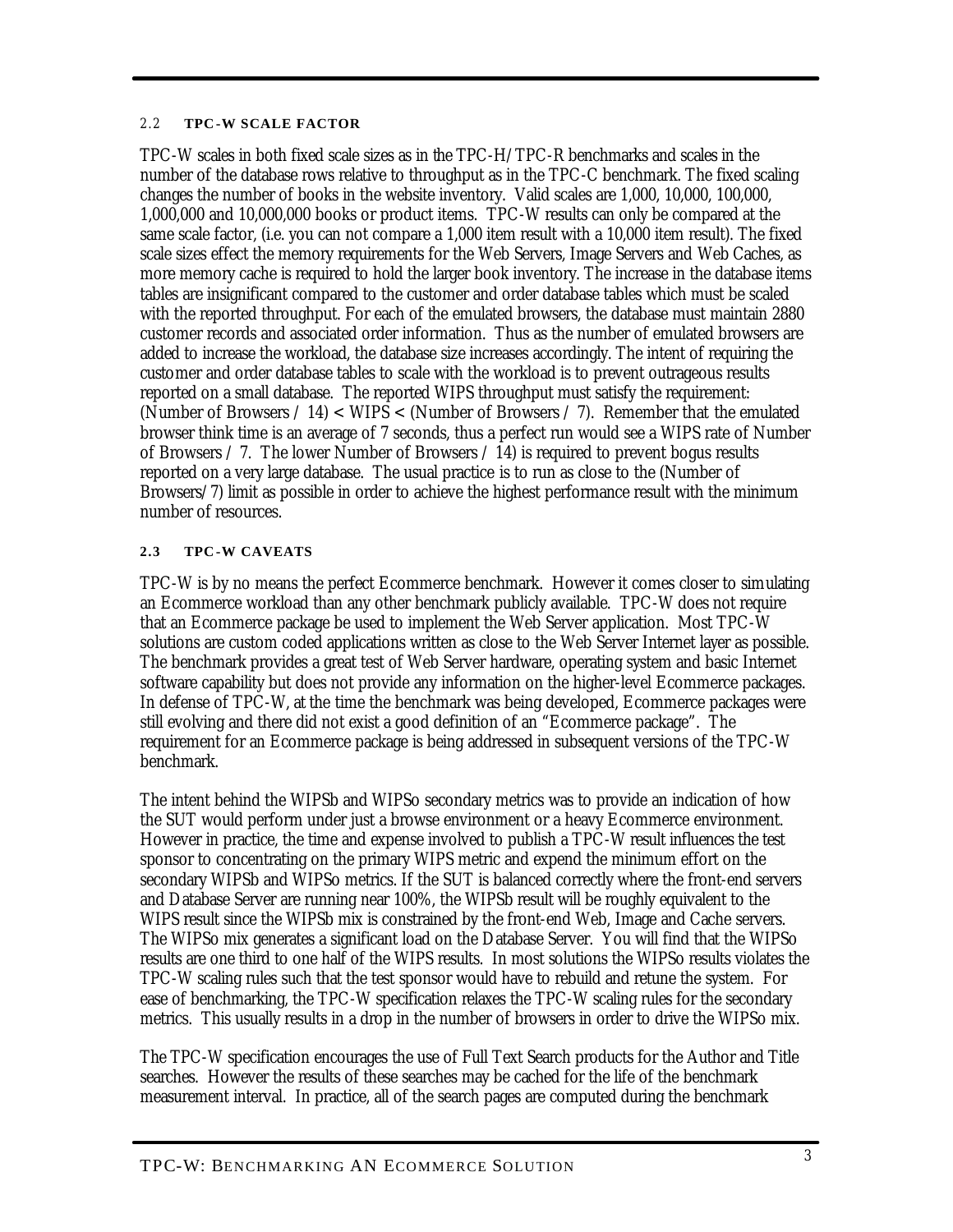#### 2.2 **TPC-W SCALE FACTOR**

TPC-W scales in both fixed scale sizes as in the TPC-H/TPC-R benchmarks and scales in the number of the database rows relative to throughput as in the TPC-C benchmark. The fixed scaling changes the number of books in the website inventory. Valid scales are 1,000, 10,000, 100,000, 1,000,000 and 10,000,000 books or product items. TPC-W results can only be compared at the same scale factor, (i.e. you can not compare a 1,000 item result with a 10,000 item result). The fixed scale sizes effect the memory requirements for the Web Servers, Image Servers and Web Caches, as more memory cache is required to hold the larger book inventory. The increase in the database items tables are insignificant compared to the customer and order database tables which must be scaled with the reported throughput. For each of the emulated browsers, the database must maintain 2880 customer records and associated order information. Thus as the number of emulated browsers are added to increase the workload, the database size increases accordingly. The intent of requiring the customer and order database tables to scale with the workload is to prevent outrageous results reported on a small database. The reported WIPS throughput must satisfy the requirement: (Number of Browsers  $/ 14$ ) < WIPS < (Number of Browsers  $/ 7$ ). Remember that the emulated browser think time is an average of 7 seconds, thus a perfect run would see a WIPS rate of Number of Browsers / 7. The lower Number of Browsers / 14) is required to prevent bogus results reported on a very large database. The usual practice is to run as close to the (Number of Browsers/7) limit as possible in order to achieve the highest performance result with the minimum number of resources.

#### **2.3 TPC-W CAVEATS**

TPC-W is by no means the perfect Ecommerce benchmark. However it comes closer to simulating an Ecommerce workload than any other benchmark publicly available. TPC-W does not require that an Ecommerce package be used to implement the Web Server application. Most TPC-W solutions are custom coded applications written as close to the Web Server Internet layer as possible. The benchmark provides a great test of Web Server hardware, operating system and basic Internet software capability but does not provide any information on the higher-level Ecommerce packages. In defense of TPC-W, at the time the benchmark was being developed, Ecommerce packages were still evolving and there did not exist a good definition of an "Ecommerce package". The requirement for an Ecommerce package is being addressed in subsequent versions of the TPC-W benchmark.

The intent behind the WIPSb and WIPSo secondary metrics was to provide an indication of how the SUT would perform under just a browse environment or a heavy Ecommerce environment. However in practice, the time and expense involved to publish a TPC-W result influences the test sponsor to concentrating on the primary WIPS metric and expend the minimum effort on the secondary WIPSb and WIPSo metrics. If the SUT is balanced correctly where the front-end servers and Database Server are running near 100%, the WIPSb result will be roughly equivalent to the WIPS result since the WIPSb mix is constrained by the front-end Web, Image and Cache servers. The WIPSo mix generates a significant load on the Database Server. You will find that the WIPSo results are one third to one half of the WIPS results. In most solutions the WIPSo results violates the TPC-W scaling rules such that the test sponsor would have to rebuild and retune the system. For ease of benchmarking, the TPC-W specification relaxes the TPC-W scaling rules for the secondary metrics. This usually results in a drop in the number of browsers in order to drive the WIPSo mix.

The TPC-W specification encourages the use of Full Text Search products for the Author and Title searches. However the results of these searches may be cached for the life of the benchmark measurement interval. In practice, all of the search pages are computed during the benchmark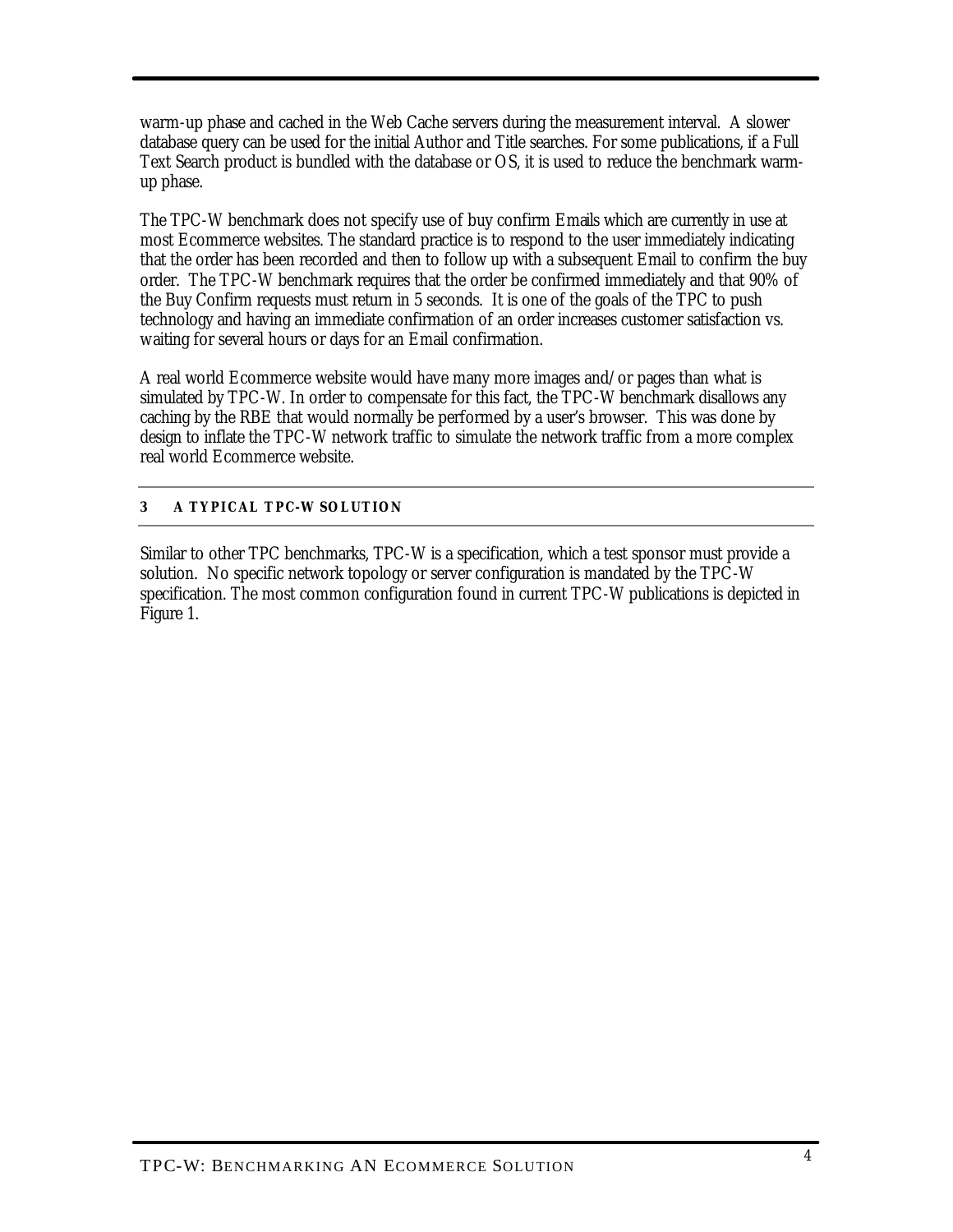warm-up phase and cached in the Web Cache servers during the measurement interval. A slower database query can be used for the initial Author and Title searches. For some publications, if a Full Text Search product is bundled with the database or OS, it is used to reduce the benchmark warmup phase.

The TPC-W benchmark does not specify use of buy confirm Emails which are currently in use at most Ecommerce websites. The standard practice is to respond to the user immediately indicating that the order has been recorded and then to follow up with a subsequent Email to confirm the buy order. The TPC-W benchmark requires that the order be confirmed immediately and that 90% of the Buy Confirm requests must return in 5 seconds. It is one of the goals of the TPC to push technology and having an immediate confirmation of an order increases customer satisfaction vs. waiting for several hours or days for an Email confirmation.

A real world Ecommerce website would have many more images and/or pages than what is simulated by TPC-W. In order to compensate for this fact, the TPC-W benchmark disallows any caching by the RBE that would normally be performed by a user's browser. This was done by design to inflate the TPC-W network traffic to simulate the network traffic from a more complex real world Ecommerce website.

## **3 A TYPICAL TPC-W SOLUTION**

Similar to other TPC benchmarks, TPC-W is a specification, which a test sponsor must provide a solution. No specific network topology or server configuration is mandated by the TPC-W specification. The most common configuration found in current TPC-W publications is depicted in Figure 1.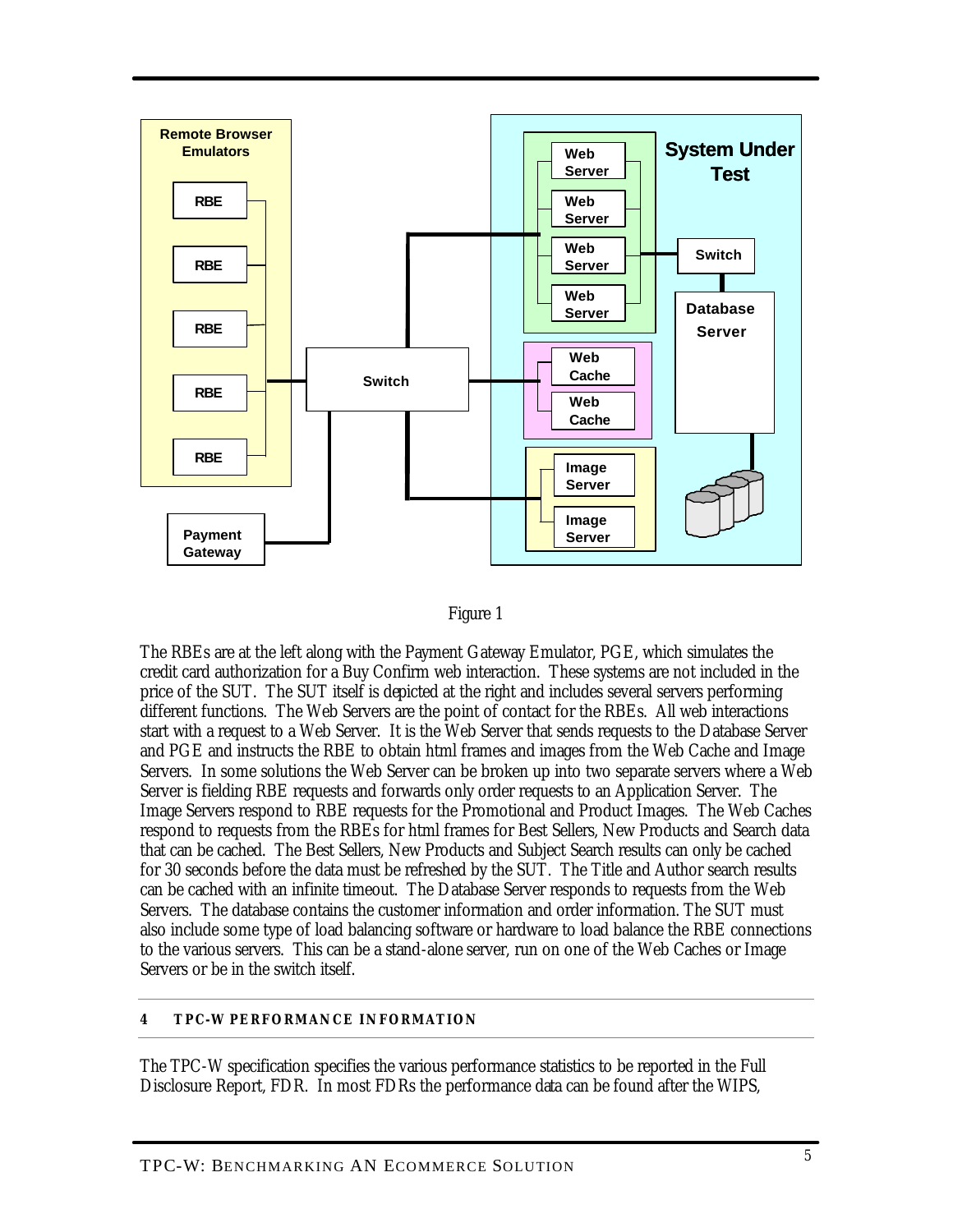



The RBEs are at the left along with the Payment Gateway Emulator, PGE, which simulates the credit card authorization for a Buy Confirm web interaction. These systems are not included in the price of the SUT. The SUT itself is depicted at the right and includes several servers performing different functions. The Web Servers are the point of contact for the RBEs. All web interactions start with a request to a Web Server. It is the Web Server that sends requests to the Database Server and PGE and instructs the RBE to obtain html frames and images from the Web Cache and Image Servers. In some solutions the Web Server can be broken up into two separate servers where a Web Server is fielding RBE requests and forwards only order requests to an Application Server. The Image Servers respond to RBE requests for the Promotional and Product Images. The Web Caches respond to requests from the RBEs for html frames for Best Sellers, New Products and Search data that can be cached. The Best Sellers, New Products and Subject Search results can only be cached for 30 seconds before the data must be refreshed by the SUT. The Title and Author search results can be cached with an infinite timeout. The Database Server responds to requests from the Web Servers. The database contains the customer information and order information. The SUT must also include some type of load balancing software or hardware to load balance the RBE connections to the various servers. This can be a stand-alone server, run on one of the Web Caches or Image Servers or be in the switch itself.

## **4 TPC-W PERFORMANCE INFORMATION**

The TPC-W specification specifies the various performance statistics to be reported in the Full Disclosure Report, FDR. In most FDRs the performance data can be found after the WIPS,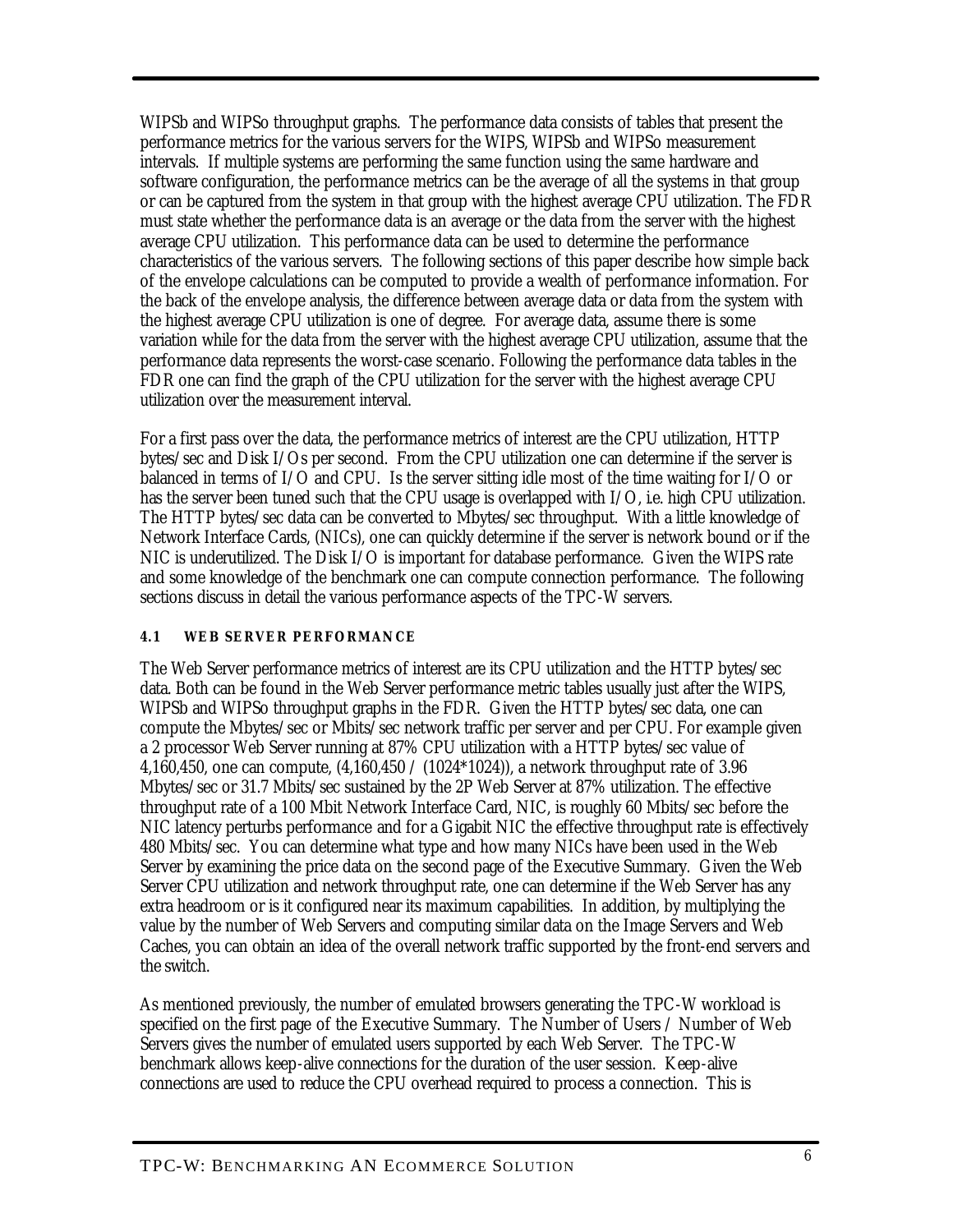WIPSb and WIPSo throughput graphs. The performance data consists of tables that present the performance metrics for the various servers for the WIPS, WIPSb and WIPSo measurement intervals. If multiple systems are performing the same function using the same hardware and software configuration, the performance metrics can be the average of all the systems in that group or can be captured from the system in that group with the highest average CPU utilization. The FDR must state whether the performance data is an average or the data from the server with the highest average CPU utilization. This performance data can be used to determine the performance characteristics of the various servers. The following sections of this paper describe how simple back of the envelope calculations can be computed to provide a wealth of performance information. For the back of the envelope analysis, the difference between average data or data from the system with the highest average CPU utilization is one of degree. For average data, assume there is some variation while for the data from the server with the highest average CPU utilization, assume that the performance data represents the worst-case scenario. Following the performance data tables in the FDR one can find the graph of the CPU utilization for the server with the highest average CPU utilization over the measurement interval.

For a first pass over the data, the performance metrics of interest are the CPU utilization, HTTP bytes/sec and Disk I/Os per second. From the CPU utilization one can determine if the server is balanced in terms of I/O and CPU. Is the server sitting idle most of the time waiting for I/O or has the server been tuned such that the CPU usage is overlapped with I/O, i.e. high CPU utilization. The HTTP bytes/sec data can be converted to Mbytes/sec throughput. With a little knowledge of Network Interface Cards, (NICs), one can quickly determine if the server is network bound or if the NIC is underutilized. The Disk I/O is important for database performance. Given the WIPS rate and some knowledge of the benchmark one can compute connection performance. The following sections discuss in detail the various performance aspects of the TPC-W servers.

## **4.1 WEB SERVER PERFORMANCE**

The Web Server performance metrics of interest are its CPU utilization and the HTTP bytes/sec data. Both can be found in the Web Server performance metric tables usually just after the WIPS, WIPSb and WIPSo throughput graphs in the FDR. Given the HTTP bytes/sec data, one can compute the Mbytes/sec or Mbits/sec network traffic per server and per CPU. For example given a 2 processor Web Server running at 87% CPU utilization with a HTTP bytes/sec value of 4,160,450, one can compute, (4,160,450 / (1024\*1024)), a network throughput rate of 3.96 Mbytes/sec or 31.7 Mbits/sec sustained by the 2P Web Server at 87% utilization. The effective throughput rate of a 100 Mbit Network Interface Card, NIC, is roughly 60 Mbits/sec before the NIC latency perturbs performance and for a Gigabit NIC the effective throughput rate is effectively 480 Mbits/sec. You can determine what type and how many NICs have been used in the Web Server by examining the price data on the second page of the Executive Summary. Given the Web Server CPU utilization and network throughput rate, one can determine if the Web Server has any extra headroom or is it configured near its maximum capabilities. In addition, by multiplying the value by the number of Web Servers and computing similar data on the Image Servers and Web Caches, you can obtain an idea of the overall network traffic supported by the front-end servers and the switch.

As mentioned previously, the number of emulated browsers generating the TPC-W workload is specified on the first page of the Executive Summary. The Number of Users / Number of Web Servers gives the number of emulated users supported by each Web Server. The TPC-W benchmark allows keep-alive connections for the duration of the user session. Keep-alive connections are used to reduce the CPU overhead required to process a connection. This is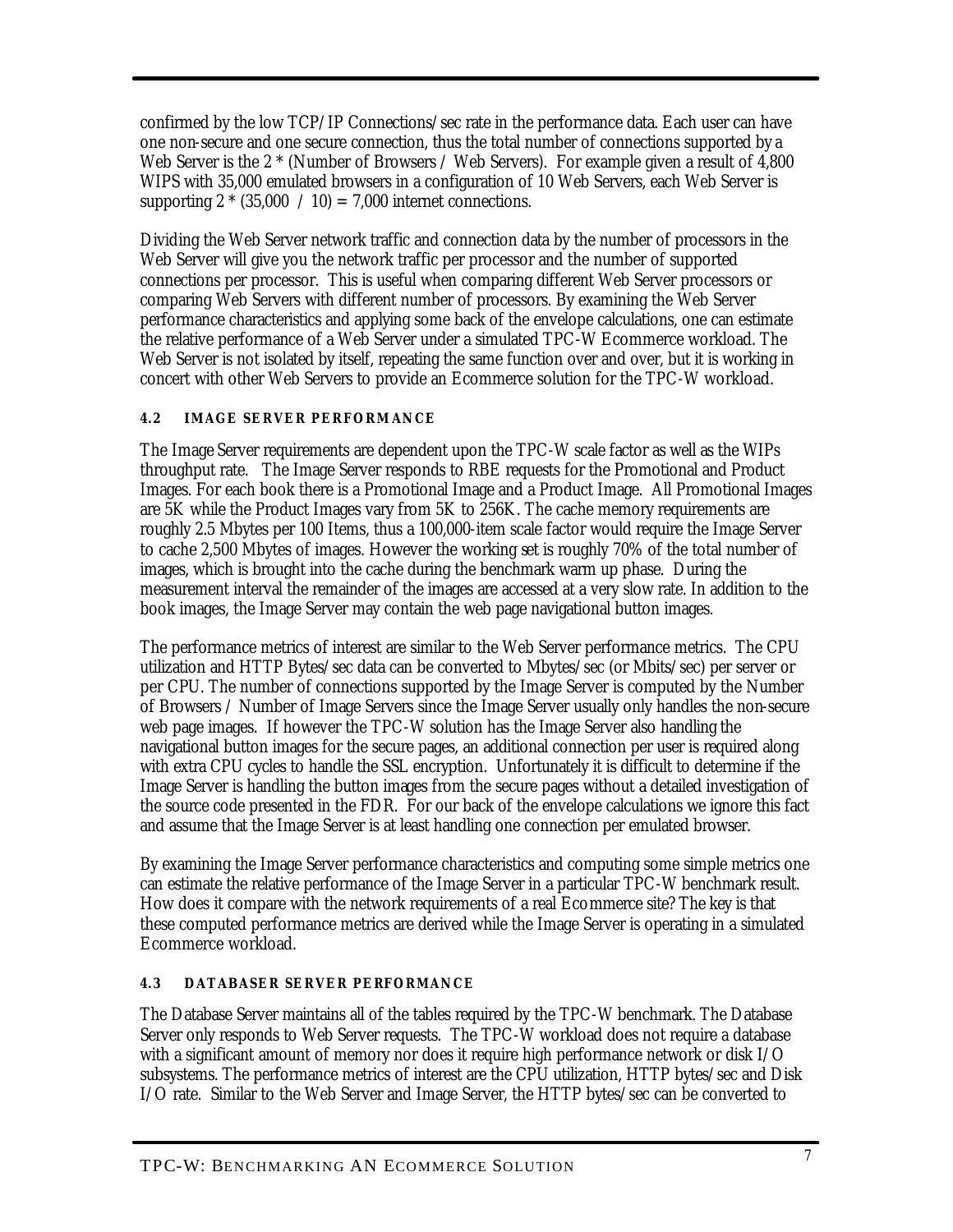confirmed by the low TCP/IP Connections/sec rate in the performance data. Each user can have one non-secure and one secure connection, thus the total number of connections supported by a Web Server is the 2  $*$  (Number of Browsers / Web Servers). For example given a result of 4,800 WIPS with 35,000 emulated browsers in a configuration of 10 Web Servers, each Web Server is supporting  $2 * (35,000 / 10) = 7,000$  internet connections.

Dividing the Web Server network traffic and connection data by the number of processors in the Web Server will give you the network traffic per processor and the number of supported connections per processor. This is useful when comparing different Web Server processors or comparing Web Servers with different number of processors. By examining the Web Server performance characteristics and applying some back of the envelope calculations, one can estimate the relative performance of a Web Server under a simulated TPC-W Ecommerce workload. The Web Server is not isolated by itself, repeating the same function over and over, but it is working in concert with other Web Servers to provide an Ecommerce solution for the TPC-W workload.

## **4.2 IMAGE SERVER PERFORM ANCE**

The Image Server requirements are dependent upon the TPC-W scale factor as well as the WIPs throughput rate. The Image Server responds to RBE requests for the Promotional and Product Images. For each book there is a Promotional Image and a Product Image. All Promotional Images are 5K while the Product Images vary from 5K to 256K. The cache memory requirements are roughly 2.5 Mbytes per 100 Items, thus a 100,000-item scale factor would require the Image Server to cache 2,500 Mbytes of images. However the working set is roughly 70% of the total number of images, which is brought into the cache during the benchmark warm up phase. During the measurement interval the remainder of the images are accessed at a very slow rate. In addition to the book images, the Image Server may contain the web page navigational button images.

The performance metrics of interest are similar to the Web Server performance metrics. The CPU utilization and HTTP Bytes/sec data can be converted to Mbytes/sec (or Mbits/sec) per server or per CPU. The number of connections supported by the Image Server is computed by the Number of Browsers / Number of Image Servers since the Image Server usually only handles the non-secure web page images. If however the TPC-W solution has the Image Server also handling the navigational button images for the secure pages, an additional connection per user is required along with extra CPU cycles to handle the SSL encryption. Unfortunately it is difficult to determine if the Image Server is handling the button images from the secure pages without a detailed investigation of the source code presented in the FDR. For our back of the envelope calculations we ignore this fact and assume that the Image Server is at least handling one connection per emulated browser.

By examining the Image Server performance characteristics and computing some simple metrics one can estimate the relative performance of the Image Server in a particular TPC-W benchmark result. How does it compare with the network requirements of a real Ecommerce site? The key is that these computed performance metrics are derived while the Image Server is operating in a simulated Ecommerce workload.

## **4.3 DATABASER SERVER PERFORMANCE**

The Database Server maintains all of the tables required by the TPC-W benchmark. The Database Server only responds to Web Server requests. The TPC-W workload does not require a database with a significant amount of memory nor does it require high performance network or disk I/O subsystems. The performance metrics of interest are the CPU utilization, HTTP bytes/sec and Disk I/O rate. Similar to the Web Server and Image Server, the HTTP bytes/sec can be converted to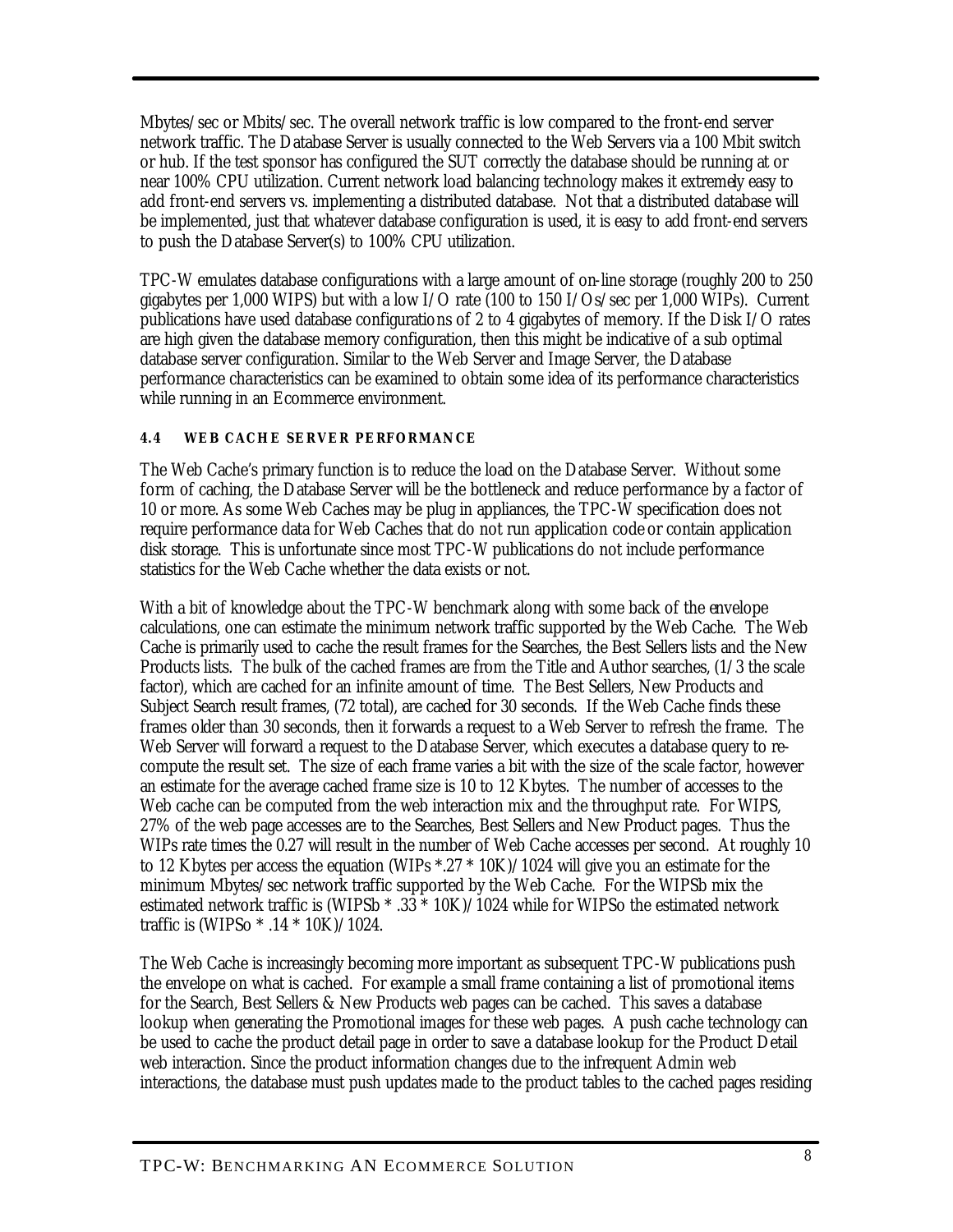Mbytes/sec or Mbits/sec. The overall network traffic is low compared to the front-end server network traffic. The Database Server is usually connected to the Web Servers via a 100 Mbit switch or hub. If the test sponsor has configured the SUT correctly the database should be running at or near 100% CPU utilization. Current network load balancing technology makes it extremely easy to add front-end servers vs. implementing a distributed database. Not that a distributed database will be implemented, just that whatever database configuration is used, it is easy to add front-end servers to push the Database Server(s) to 100% CPU utilization.

TPC-W emulates database configurations with a large amount of on-line storage (roughly 200 to 250 gigabytes per 1,000 WIPS) but with a low I/O rate (100 to 150 I/Os/sec per 1,000 WIPs). Current publications have used database configurations of 2 to 4 gigabytes of memory. If the Disk I/O rates are high given the database memory configuration, then this might be indicative of a sub optimal database server configuration. Similar to the Web Server and Image Server, the Database performance characteristics can be examined to obtain some idea of its performance characteristics while running in an Ecommerce environment.

## **4.4 WEB CACHE SERVER PERFORMANCE**

The Web Cache's primary function is to reduce the load on the Database Server. Without some form of caching, the Database Server will be the bottleneck and reduce performance by a factor of 10 or more. As some Web Caches may be plug in appliances, the TPC-W specification does not require performance data for Web Caches that do not run application code or contain application disk storage. This is unfortunate since most TPC-W publications do not include performance statistics for the Web Cache whether the data exists or not.

With a bit of knowledge about the TPC-W benchmark along with some back of the envelope calculations, one can estimate the minimum network traffic supported by the Web Cache. The Web Cache is primarily used to cache the result frames for the Searches, the Best Sellers lists and the New Products lists. The bulk of the cached frames are from the Title and Author searches, (1/3 the scale factor), which are cached for an infinite amount of time. The Best Sellers, New Products and Subject Search result frames, (72 total), are cached for 30 seconds. If the Web Cache finds these frames older than 30 seconds, then it forwards a request to a Web Server to refresh the frame. The Web Server will forward a request to the Database Server, which executes a database query to recompute the result set. The size of each frame varies a bit with the size of the scale factor, however an estimate for the average cached frame size is 10 to 12 Kbytes. The number of accesses to the Web cache can be computed from the web interaction mix and the throughput rate. For WIPS, 27% of the web page accesses are to the Searches, Best Sellers and New Product pages. Thus the WIPs rate times the 0.27 will result in the number of Web Cache accesses per second. At roughly 10 to 12 Kbytes per access the equation (WIPs  $*.27 * 10K$ )/1024 will give you an estimate for the minimum Mbytes/sec network traffic supported by the Web Cache. For the WIPSb mix the estimated network traffic is (WIPSb \* .33 \* 10K)/1024 while for WIPSo the estimated network traffic is (WIPSo \* .14 \* 10K)/1024.

The Web Cache is increasingly becoming more important as subsequent TPC-W publications push the envelope on what is cached. For example a small frame containing a list of promotional items for the Search, Best Sellers & New Products web pages can be cached. This saves a database lookup when generating the Promotional images for these web pages. A push cache technology can be used to cache the product detail page in order to save a database lookup for the Product Detail web interaction. Since the product information changes due to the infrequent Admin web interactions, the database must push updates made to the product tables to the cached pages residing